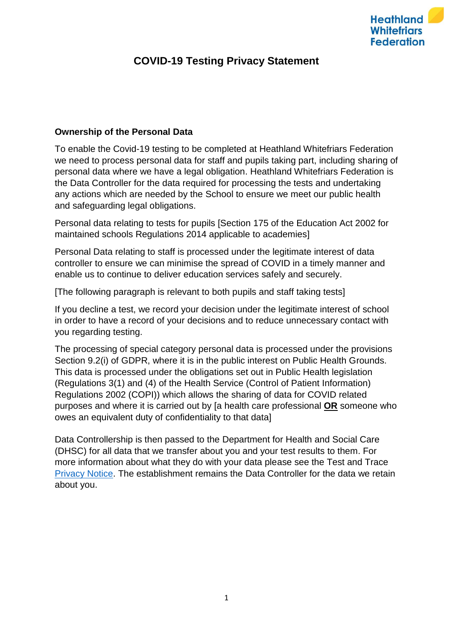

# **COVID-19 Testing Privacy Statement**

## **Ownership of the Personal Data**

To enable the Covid-19 testing to be completed at Heathland Whitefriars Federation we need to process personal data for staff and pupils taking part, including sharing of personal data where we have a legal obligation. Heathland Whitefriars Federation is the Data Controller for the data required for processing the tests and undertaking any actions which are needed by the School to ensure we meet our public health and safeguarding legal obligations.

Personal data relating to tests for pupils [Section 175 of the Education Act 2002 for maintained schools Regulations 2014 applicable to academies]

Personal Data relating to staff is processed under the legitimate interest of data controller to ensure we can minimise the spread of COVID in a timely manner and enable us to continue to deliver education services safely and securely.

[The following paragraph is relevant to both pupils and staff taking tests]

If you decline a test, we record your decision under the legitimate interest of school in order to have a record of your decisions and to reduce unnecessary contact with you regarding testing.

The processing of special category personal data is processed under the provisions Section 9.2(i) of GDPR, where it is in the public interest on Public Health Grounds. This data is processed under the obligations set out in Public Health legislation (Regulations 3(1) and (4) of the Health Service (Control of Patient Information) Regulations 2002 (COPI)) which allows the sharing of data for COVID related purposes and where it is carried out by [a health care professional **OR** someone who owes an equivalent duty of confidentiality to that data]

Data Controllership is then passed to the Department for Health and Social Care (DHSC) for all data that we transfer about you and your test results to them. For more information about what they do with your data please see the Test and Trace [Privacy Notice.](https://contact-tracing.phe.gov.uk/help/privacy-notice) The establishment remains the Data Controller for the data we retain about you.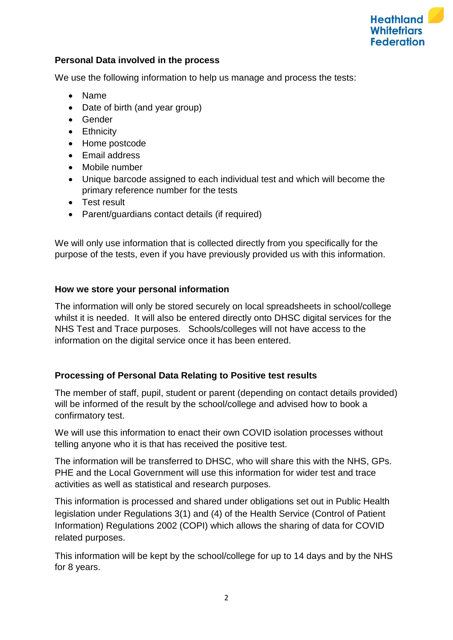

# **Personal Data involved in the process**

We use the following information to help us manage and process the tests:

- Name
- Date of birth (and year group)
- Gender
- Ethnicity
- Home postcode
- Email address
- Mobile number
- Unique barcode assigned to each individual test and which will become the primary reference number for the tests
- Test result
- Parent/guardians contact details (if required)

We will only use information that is collected directly from you specifically for the purpose of the tests, even if you have previously provided us with this information.

# **How we store your personal information**

The information will only be stored securely on local spreadsheets in school/college whilst it is needed. It will also be entered directly onto DHSC digital services for the NHS Test and Trace purposes. Schools/colleges will not have access to the information on the digital service once it has been entered.

## **Processing of Personal Data Relating to Positive test results**

The member of staff, pupil, student or parent (depending on contact details provided) will be informed of the result by the school/college and advised how to book a confirmatory test.

We will use this information to enact their own COVID isolation processes without telling anyone who it is that has received the positive test.

The information will be transferred to DHSC, who will share this with the NHS, GPs. PHE and the Local Government will use this information for wider test and trace activities as well as statistical and research purposes.

This information is processed and shared under obligations set out in Public Health legislation under Regulations 3(1) and (4) of the Health Service (Control of Patient Information) Regulations 2002 (COPI) which allows the sharing of data for COVID related purposes.

This information will be kept by the school/college for up to 14 days and by the NHS for 8 years.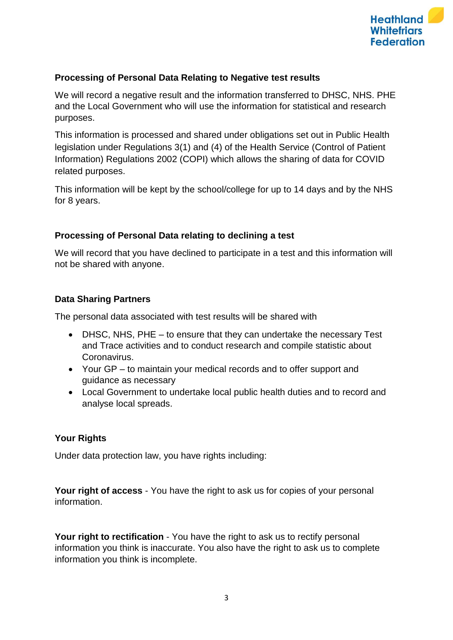

# **Processing of Personal Data Relating to Negative test results**

We will record a negative result and the information transferred to DHSC, NHS. PHE and the Local Government who will use the information for statistical and research purposes.

This information is processed and shared under obligations set out in Public Health legislation under Regulations 3(1) and (4) of the Health Service (Control of Patient Information) Regulations 2002 (COPI) which allows the sharing of data for COVID related purposes.

This information will be kept by the school/college for up to 14 days and by the NHS for 8 years.

# **Processing of Personal Data relating to declining a test**

We will record that you have declined to participate in a test and this information will not be shared with anyone.

# **Data Sharing Partners**

The personal data associated with test results will be shared with

- DHSC, NHS, PHE to ensure that they can undertake the necessary Test and Trace activities and to conduct research and compile statistic about Coronavirus.
- Your GP to maintain your medical records and to offer support and guidance as necessary
- Local Government to undertake local public health duties and to record and analyse local spreads.

## **Your Rights**

Under data protection law, you have rights including:

**Your right of access** - You have the right to ask us for copies of your personal information.

**Your right to rectification** - You have the right to ask us to rectify personal information you think is inaccurate. You also have the right to ask us to complete information you think is incomplete.